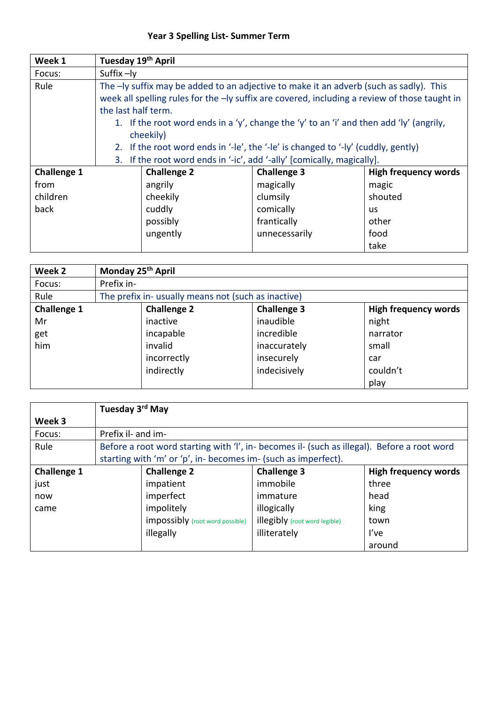| Week 1             | Tuesday 19th April                                                                |                                                                        |                                                                                               |                      |  |  |
|--------------------|-----------------------------------------------------------------------------------|------------------------------------------------------------------------|-----------------------------------------------------------------------------------------------|----------------------|--|--|
| Focus:             | Suffix -ly                                                                        |                                                                        |                                                                                               |                      |  |  |
| Rule               |                                                                                   |                                                                        | The -ly suffix may be added to an adjective to make it an adverb (such as sadly). This        |                      |  |  |
|                    |                                                                                   |                                                                        | week all spelling rules for the -ly suffix are covered, including a review of those taught in |                      |  |  |
|                    | the last half term.                                                               |                                                                        |                                                                                               |                      |  |  |
|                    |                                                                                   |                                                                        | 1. If the root word ends in a 'y', change the 'y' to an 'i' and then add 'ly' (angrily,       |                      |  |  |
|                    |                                                                                   | cheekily)                                                              |                                                                                               |                      |  |  |
|                    | 2. If the root word ends in '-le', the '-le' is changed to '-ly' (cuddly, gently) |                                                                        |                                                                                               |                      |  |  |
|                    |                                                                                   | 3. If the root word ends in '-ic', add '-ally' [comically, magically]. |                                                                                               |                      |  |  |
| <b>Challenge 1</b> |                                                                                   | <b>Challenge 2</b>                                                     | <b>Challenge 3</b>                                                                            | High frequency words |  |  |
| from               |                                                                                   | angrily                                                                | magically                                                                                     | magic                |  |  |
| children           |                                                                                   | cheekily                                                               | clumsily                                                                                      | shouted              |  |  |
| back               |                                                                                   | cuddly                                                                 | comically                                                                                     | us                   |  |  |
|                    |                                                                                   | possibly                                                               | frantically                                                                                   | other                |  |  |
|                    |                                                                                   | ungently                                                               | unnecessarily                                                                                 | food                 |  |  |
|                    |                                                                                   |                                                                        |                                                                                               | take                 |  |  |

| Week 2             |            | Monday 25 <sup>th</sup> April                       |                    |                             |  |  |
|--------------------|------------|-----------------------------------------------------|--------------------|-----------------------------|--|--|
| Focus:             | Prefix in- |                                                     |                    |                             |  |  |
| Rule               |            | The prefix in- usually means not (such as inactive) |                    |                             |  |  |
| <b>Challenge 1</b> |            | <b>Challenge 2</b>                                  | <b>Challenge 3</b> | <b>High frequency words</b> |  |  |
| Mr                 |            | inactive                                            | inaudible          | night                       |  |  |
| get                |            | incapable                                           | incredible         | narrator                    |  |  |
| him                |            | invalid                                             | inaccurately       | small                       |  |  |
|                    |            | incorrectly                                         | insecurely         | car                         |  |  |
|                    |            | indirectly                                          | indecisively       | couldn't                    |  |  |
|                    |            |                                                     |                    | play                        |  |  |

|                    |                    | Tuesday 3 <sup>rd</sup> May                                    |                                                                                             |                             |
|--------------------|--------------------|----------------------------------------------------------------|---------------------------------------------------------------------------------------------|-----------------------------|
| Week 3             |                    |                                                                |                                                                                             |                             |
| Focus:             | Prefix il- and im- |                                                                |                                                                                             |                             |
| Rule               |                    |                                                                | Before a root word starting with 'I', in- becomes il- (such as illegal). Before a root word |                             |
|                    |                    | starting with 'm' or 'p', in- becomes im- (such as imperfect). |                                                                                             |                             |
| <b>Challenge 1</b> |                    | <b>Challenge 2</b>                                             | <b>Challenge 3</b>                                                                          | <b>High frequency words</b> |
| just               |                    | impatient                                                      | immobile                                                                                    | three                       |
| now                |                    | imperfect                                                      | immature                                                                                    | head                        |
| came               |                    | impolitely                                                     | illogically                                                                                 | king                        |
|                    |                    | impossibly (root word possible)                                | <b>illegibly</b> (root word legible)                                                        | town                        |
|                    |                    | illegally                                                      | illiterately                                                                                | I've                        |
|                    |                    |                                                                |                                                                                             | around                      |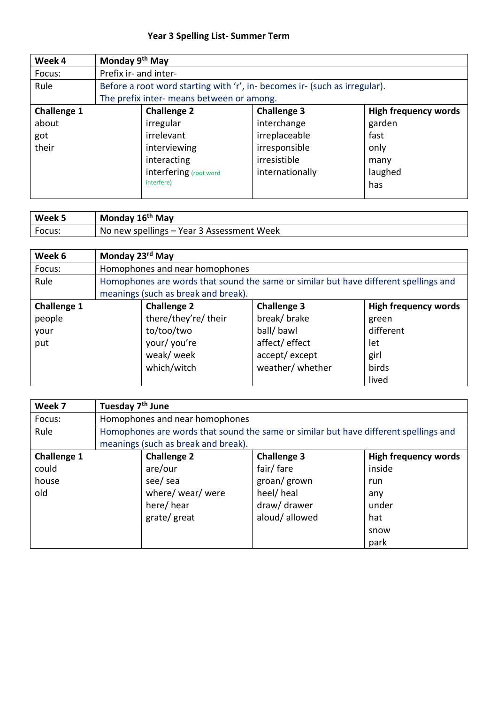| Week 4             | Monday 9 <sup>th</sup> May |                                           |                                                                           |                             |
|--------------------|----------------------------|-------------------------------------------|---------------------------------------------------------------------------|-----------------------------|
| Focus:             | Prefix ir- and inter-      |                                           |                                                                           |                             |
| Rule               |                            |                                           | Before a root word starting with 'r', in-becomes ir- (such as irregular). |                             |
|                    |                            | The prefix inter- means between or among. |                                                                           |                             |
| <b>Challenge 1</b> |                            | <b>Challenge 2</b>                        | <b>Challenge 3</b>                                                        | <b>High frequency words</b> |
| about              |                            | irregular                                 | interchange                                                               | garden                      |
| got                |                            | irrelevant                                | irreplaceable                                                             | fast                        |
| their              |                            | interviewing                              | irresponsible                                                             | only                        |
|                    |                            | interacting                               | irresistible                                                              | many                        |
|                    |                            | interfering (root word                    | internationally                                                           | laughed                     |
|                    |                            | interfere)                                |                                                                           | has                         |
|                    |                            |                                           |                                                                           |                             |

| Week 5 | Monday 16 <sup>th</sup> May               |
|--------|-------------------------------------------|
| Focus. | No new spellings – Year 3 Assessment Week |

| Week 6             | Monday 23 <sup>rd</sup> May |                                     |                                                                                      |                             |
|--------------------|-----------------------------|-------------------------------------|--------------------------------------------------------------------------------------|-----------------------------|
| Focus:             |                             | Homophones and near homophones      |                                                                                      |                             |
| Rule               |                             |                                     | Homophones are words that sound the same or similar but have different spellings and |                             |
|                    |                             | meanings (such as break and break). |                                                                                      |                             |
| <b>Challenge 1</b> |                             | <b>Challenge 2</b>                  | <b>Challenge 3</b>                                                                   | <b>High frequency words</b> |
| people             |                             | there/they're/ their                | break/ brake                                                                         | green                       |
| your               |                             | to/too/two                          | ball/ bawl                                                                           | different                   |
| put                |                             | your/ you're                        | affect/effect                                                                        | let                         |
|                    |                             | weak/ week                          | accept/except                                                                        | girl                        |
|                    |                             | which/witch                         | weather/ whether                                                                     | birds                       |
|                    |                             |                                     |                                                                                      | lived                       |

| Week 7             | Tuesday 7 <sup>th</sup> June |                                     |                                                                                      |                             |
|--------------------|------------------------------|-------------------------------------|--------------------------------------------------------------------------------------|-----------------------------|
| Focus:             |                              | Homophones and near homophones      |                                                                                      |                             |
| Rule               |                              |                                     | Homophones are words that sound the same or similar but have different spellings and |                             |
|                    |                              | meanings (such as break and break). |                                                                                      |                             |
| <b>Challenge 1</b> |                              | <b>Challenge 2</b>                  | <b>Challenge 3</b>                                                                   | <b>High frequency words</b> |
| could              |                              | are/our                             | fair/fare                                                                            | inside                      |
| house              |                              | see/ sea                            | groan/ grown                                                                         | run                         |
| old                |                              | where/ wear/ were                   | heel/ heal                                                                           | any                         |
|                    |                              | here/hear                           | draw/ drawer                                                                         | under                       |
|                    |                              | grate/ great                        | aloud/allowed                                                                        | hat                         |
|                    |                              |                                     |                                                                                      | snow                        |
|                    |                              |                                     |                                                                                      | park                        |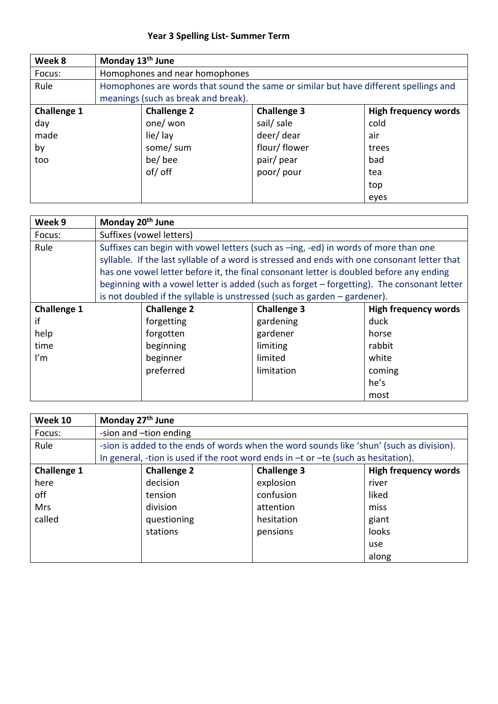| Week 8             | Monday 13 <sup>th</sup> June |                                     |                                                                                      |                             |
|--------------------|------------------------------|-------------------------------------|--------------------------------------------------------------------------------------|-----------------------------|
| Focus:             |                              | Homophones and near homophones      |                                                                                      |                             |
| Rule               |                              |                                     | Homophones are words that sound the same or similar but have different spellings and |                             |
|                    |                              | meanings (such as break and break). |                                                                                      |                             |
| <b>Challenge 1</b> |                              | <b>Challenge 2</b>                  | <b>Challenge 3</b>                                                                   | <b>High frequency words</b> |
| day                |                              | one/ won                            | sail/ sale                                                                           | cold                        |
| made               |                              | lie/lay                             | deer/dear                                                                            | air                         |
| by                 |                              | some/ sum                           | flour/flower                                                                         | trees                       |
| too                |                              | be/bee                              | pair/pear                                                                            | bad                         |
|                    |                              | of/ off                             | poor/pour                                                                            | tea                         |
|                    |                              |                                     |                                                                                      | top                         |
|                    |                              |                                     |                                                                                      | eyes                        |

| Week 9                  | Monday 20 <sup>th</sup> June |                          |                                                                                              |                             |
|-------------------------|------------------------------|--------------------------|----------------------------------------------------------------------------------------------|-----------------------------|
| Focus:                  |                              | Suffixes (vowel letters) |                                                                                              |                             |
| Rule                    |                              |                          | Suffixes can begin with vowel letters (such as -ing, -ed) in words of more than one          |                             |
|                         |                              |                          | syllable. If the last syllable of a word is stressed and ends with one consonant letter that |                             |
|                         |                              |                          | has one vowel letter before it, the final consonant letter is doubled before any ending      |                             |
|                         |                              |                          | beginning with a vowel letter is added (such as forget - forgetting). The consonant letter   |                             |
|                         |                              |                          | is not doubled if the syllable is unstressed (such as garden $-$ gardener).                  |                             |
| <b>Challenge 1</b>      |                              | <b>Challenge 2</b>       | <b>Challenge 3</b>                                                                           | <b>High frequency words</b> |
| if                      |                              | forgetting               | gardening                                                                                    | duck                        |
| help                    |                              | forgotten                | gardener                                                                                     | horse                       |
| time                    |                              | beginning                | limiting                                                                                     | rabbit                      |
| $\mathsf{I}'\mathsf{m}$ |                              | beginner                 | limited                                                                                      | white                       |
|                         |                              | preferred                | limitation                                                                                   | coming                      |
|                         |                              |                          |                                                                                              | he's                        |
|                         |                              |                          |                                                                                              | most                        |

| <b>Week 10</b>     | Monday 27 <sup>th</sup> June |                        |                                                                                          |                             |
|--------------------|------------------------------|------------------------|------------------------------------------------------------------------------------------|-----------------------------|
| Focus:             |                              | -sion and -tion ending |                                                                                          |                             |
| Rule               |                              |                        | -sion is added to the ends of words when the word sounds like 'shun' (such as division). |                             |
|                    |                              |                        | In general, -tion is used if the root word ends in $-t$ or $-te$ (such as hesitation).   |                             |
| <b>Challenge 1</b> |                              | <b>Challenge 2</b>     | <b>Challenge 3</b>                                                                       | <b>High frequency words</b> |
| here               |                              | decision               | explosion                                                                                | river                       |
| off                |                              | tension                | confusion                                                                                | liked                       |
| <b>Mrs</b>         |                              | division               | attention                                                                                | miss                        |
| called             |                              | questioning            | hesitation                                                                               | giant                       |
|                    |                              | stations               | pensions                                                                                 | looks                       |
|                    |                              |                        |                                                                                          | use                         |
|                    |                              |                        |                                                                                          | along                       |